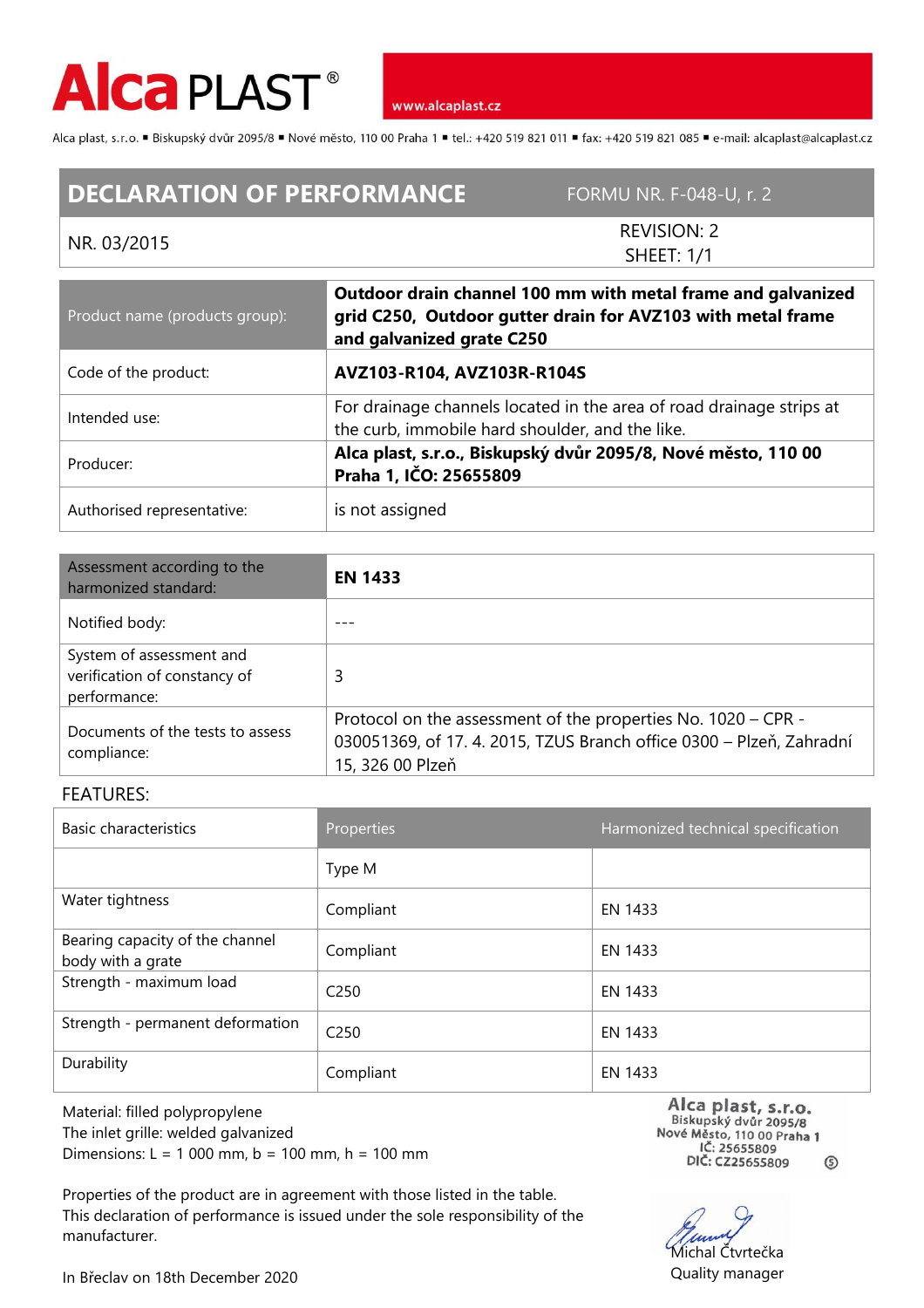

www.alcaplast.cz

Alca plast, s.r.o. "Biskupský dvůr 2095/8 "Nové město, 110 00 Praha 1 "tel.: +420 519 821 011 "fax: +420 519 821 085 " e-mail: alcaplast@alcaplast.cz

## **DECLARATION OF PERFORMANCE** FORMU NR. F-048-U, r. 2

## NR. 03/2015

REVISION: 2 SHEET: 1/1

| Product name (products group): | Outdoor drain channel 100 mm with metal frame and galvanized<br>grid C250, Outdoor gutter drain for AVZ103 with metal frame<br>and galvanized grate C250 |  |
|--------------------------------|----------------------------------------------------------------------------------------------------------------------------------------------------------|--|
| Code of the product:           | AVZ103-R104, AVZ103R-R104S                                                                                                                               |  |
| Intended use:                  | For drainage channels located in the area of road drainage strips at<br>the curb, immobile hard shoulder, and the like.                                  |  |
| Producer:                      | Alca plast, s.r.o., Biskupský dvůr 2095/8, Nové město, 110 00<br>Praha 1, IČO: 25655809                                                                  |  |
| Authorised representative:     | is not assigned                                                                                                                                          |  |

| Assessment according to the<br>harmonized standard:                      | <b>EN 1433</b>                                                                                                                                            |  |
|--------------------------------------------------------------------------|-----------------------------------------------------------------------------------------------------------------------------------------------------------|--|
| Notified body:                                                           |                                                                                                                                                           |  |
| System of assessment and<br>verification of constancy of<br>performance: | 3                                                                                                                                                         |  |
| Documents of the tests to assess<br>compliance:                          | Protocol on the assessment of the properties No. 1020 - CPR -<br>030051369, of 17. 4. 2015, TZUS Branch office 0300 - Plzeň, Zahradní<br>15, 326 00 Plzeň |  |

## FEATURES:

| Basic characteristics                                | Properties       | Harmonized technical specification |
|------------------------------------------------------|------------------|------------------------------------|
|                                                      | Type M           |                                    |
| Water tightness                                      | Compliant        | EN 1433                            |
| Bearing capacity of the channel<br>body with a grate | Compliant        | EN 1433                            |
| Strength - maximum load                              | C <sub>250</sub> | EN 1433                            |
| Strength - permanent deformation                     | C <sub>250</sub> | EN 1433                            |
| Durability                                           | Compliant        | EN 1433                            |

Material: filled polypropylene The inlet grille: welded galvanized Dimensions: L = 1 000 mm, b = 100 mm, h = 100 mm

Properties of the product are in agreement with those listed in the table. This declaration of performance is issued under the sole responsibility of the manufacturer.

Alca plast, s.r.o. Biskupský dvůr 2095/8 Nové Město, 110 00 Praha 1<br>IČ: 25655809 DIČ: CZ25655809  $\circledS$ 

Michal Čtvrtečka Quality manager

In Břeclav on 18th December 2020